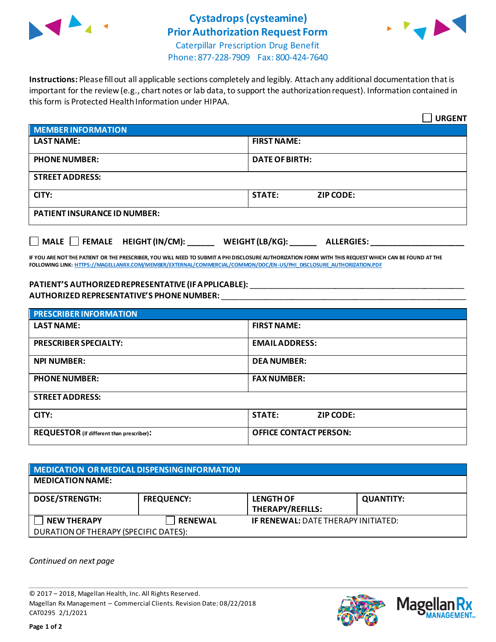

## **Cystadrops(cysteamine) Prior Authorization Request Form**



Caterpillar Prescription Drug Benefit Phone: 877-228-7909 Fax: 800-424-7640

**Instructions:** Please fill out all applicable sections completely and legibly. Attach any additional documentation that is important for the review (e.g., chart notes or lab data, to support the authorization request). Information contained in this form is Protected Health Information under HIPAA.

|                                                                                   | <b>URGENT</b>                     |  |  |
|-----------------------------------------------------------------------------------|-----------------------------------|--|--|
| <b>MEMBER INFORMATION</b>                                                         |                                   |  |  |
| <b>LAST NAME:</b>                                                                 | <b>FIRST NAME:</b>                |  |  |
| <b>PHONE NUMBER:</b>                                                              | <b>DATE OF BIRTH:</b>             |  |  |
| <b>STREET ADDRESS:</b>                                                            |                                   |  |  |
| CITY:                                                                             | <b>STATE:</b><br><b>ZIP CODE:</b> |  |  |
| <b>PATIENT INSURANCE ID NUMBER:</b>                                               |                                   |  |  |
| $\Box$ MALE $\Box$ FEMALE HEIGHT (IN/CM):<br>WEIGHT (LB/KG):<br><b>ALLERGIES:</b> |                                   |  |  |

**IF YOU ARE NOT THE PATIENT OR THE PRESCRIBER, YOU WILL NEED TO SUBMIT A PHI DISCLOSURE AUTHORIZATION FORM WITH THIS REQUEST WHICH CAN BE FOUND AT THE FOLLOWING LINK[: HTTPS://MAGELLANRX.COM/MEMBER/EXTERNAL/COMMERCIAL/COMMON/DOC/EN-US/PHI\\_DISCLOSURE\\_AUTHORIZATION.PDF](https://magellanrx.com/member/external/commercial/common/doc/en-us/PHI_Disclosure_Authorization.pdf)**

## **PATIENT'S AUTHORIZED REPRESENTATIVE (IF APPLICABLE):** \_\_\_\_\_\_\_\_\_\_\_\_\_\_\_\_\_\_\_\_\_\_\_\_\_\_\_\_\_\_\_\_\_\_\_\_\_\_\_\_\_\_\_\_\_\_\_\_ **AUTHORIZED REPRESENTATIVE'S PHONE NUMBER:** \_\_\_\_\_\_\_\_\_\_\_\_\_\_\_\_\_\_\_\_\_\_\_\_\_\_\_\_\_\_\_\_\_\_\_\_\_\_\_\_\_\_\_\_\_\_\_\_\_\_\_\_\_\_\_

| <b>PRESCRIBER INFORMATION</b>             |                               |  |
|-------------------------------------------|-------------------------------|--|
| <b>LAST NAME:</b>                         | <b>FIRST NAME:</b>            |  |
| <b>PRESCRIBER SPECIALTY:</b>              | <b>EMAIL ADDRESS:</b>         |  |
| <b>NPI NUMBER:</b>                        | <b>DEA NUMBER:</b>            |  |
| <b>PHONE NUMBER:</b>                      | <b>FAX NUMBER:</b>            |  |
| <b>STREET ADDRESS:</b>                    |                               |  |
| CITY:                                     | <b>STATE:</b><br>ZIP CODE:    |  |
| REQUESTOR (if different than prescriber): | <b>OFFICE CONTACT PERSON:</b> |  |

| MEDICATION OR MEDICAL DISPENSING INFORMATION |                   |                                            |                  |  |  |
|----------------------------------------------|-------------------|--------------------------------------------|------------------|--|--|
| <b>MEDICATION NAME:</b>                      |                   |                                            |                  |  |  |
| <b>DOSE/STRENGTH:</b>                        | <b>FREQUENCY:</b> | <b>LENGTH OF</b><br>THERAPY/REFILLS:       | <b>QUANTITY:</b> |  |  |
| <b>NEW THERAPY</b>                           | <b>RENEWAL</b>    | <b>IF RENEWAL: DATE THERAPY INITIATED:</b> |                  |  |  |
| DURATION OF THERAPY (SPECIFIC DATES):        |                   |                                            |                  |  |  |

*Continued on next page*

© 2017 – 2018, Magellan Health, Inc. All Rights Reserved. Magellan Rx Management – Commercial Clients. Revision Date: 08/22/2018 CAT0295 2/1/2021